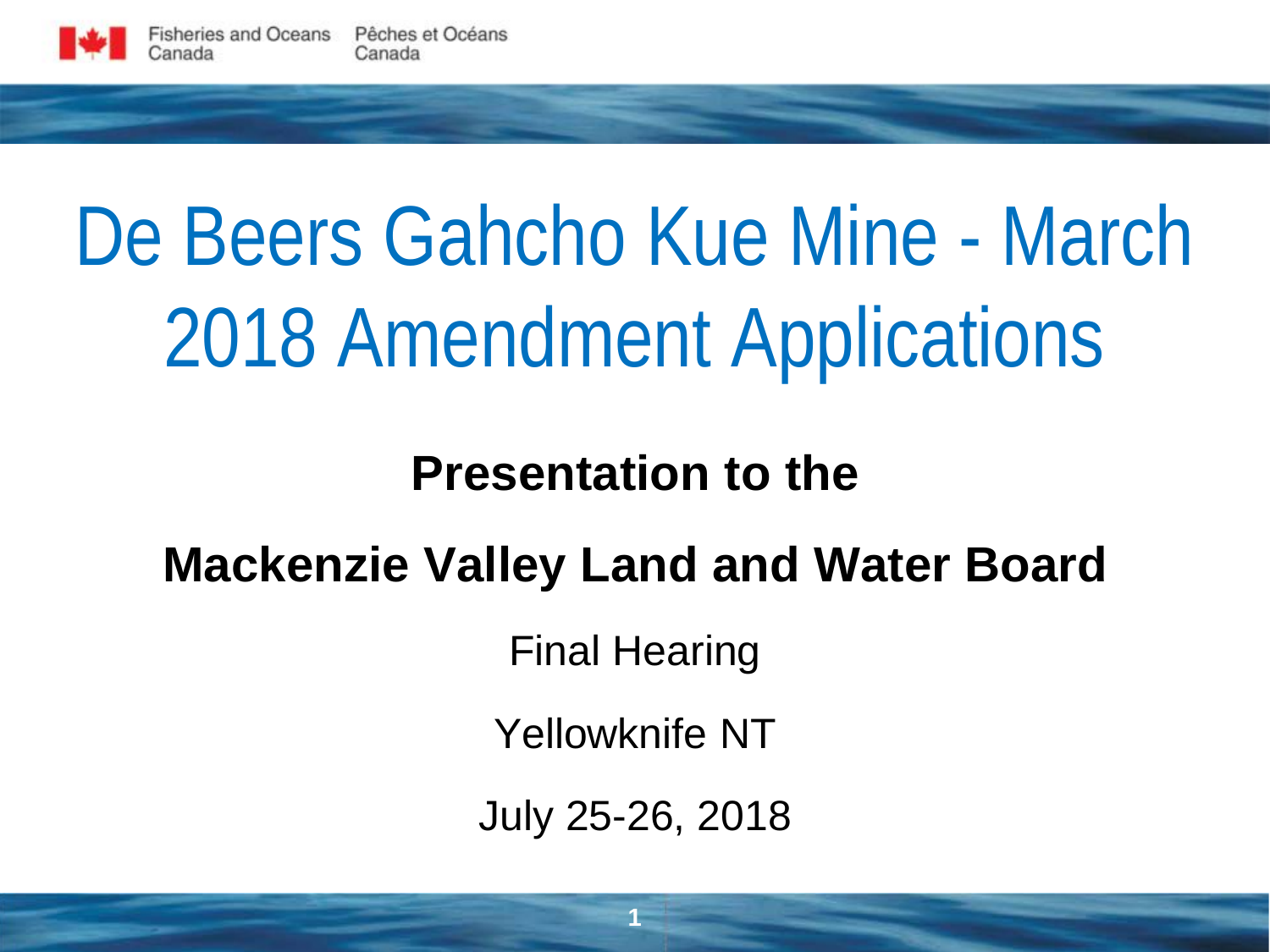

# De Beers Gahcho Kue Mine - March 2018 Amendment Applications

#### **Presentation to the**

## **Mackenzie Valley Land and Water Board**

Final Hearing

Yellowknife NT

July 25-26, 2018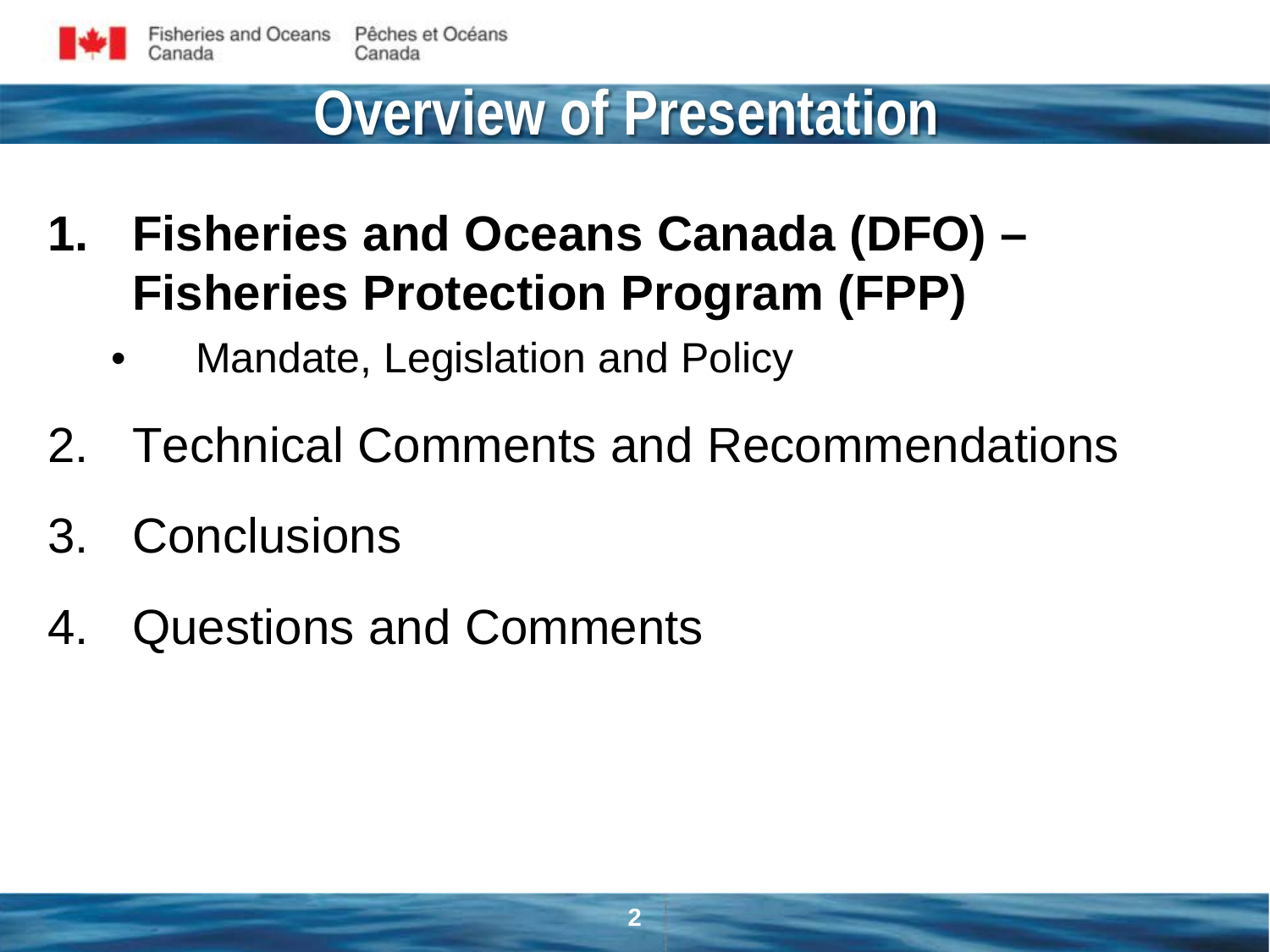

#### **Overview of Presentation**

- **1. Fisheries and Oceans Canada (DFO) Fisheries Protection Program (FPP)**
	- Mandate, Legislation and Policy
- 2. Technical Comments and Recommendations
- 3. Conclusions
- 4. Questions and Comments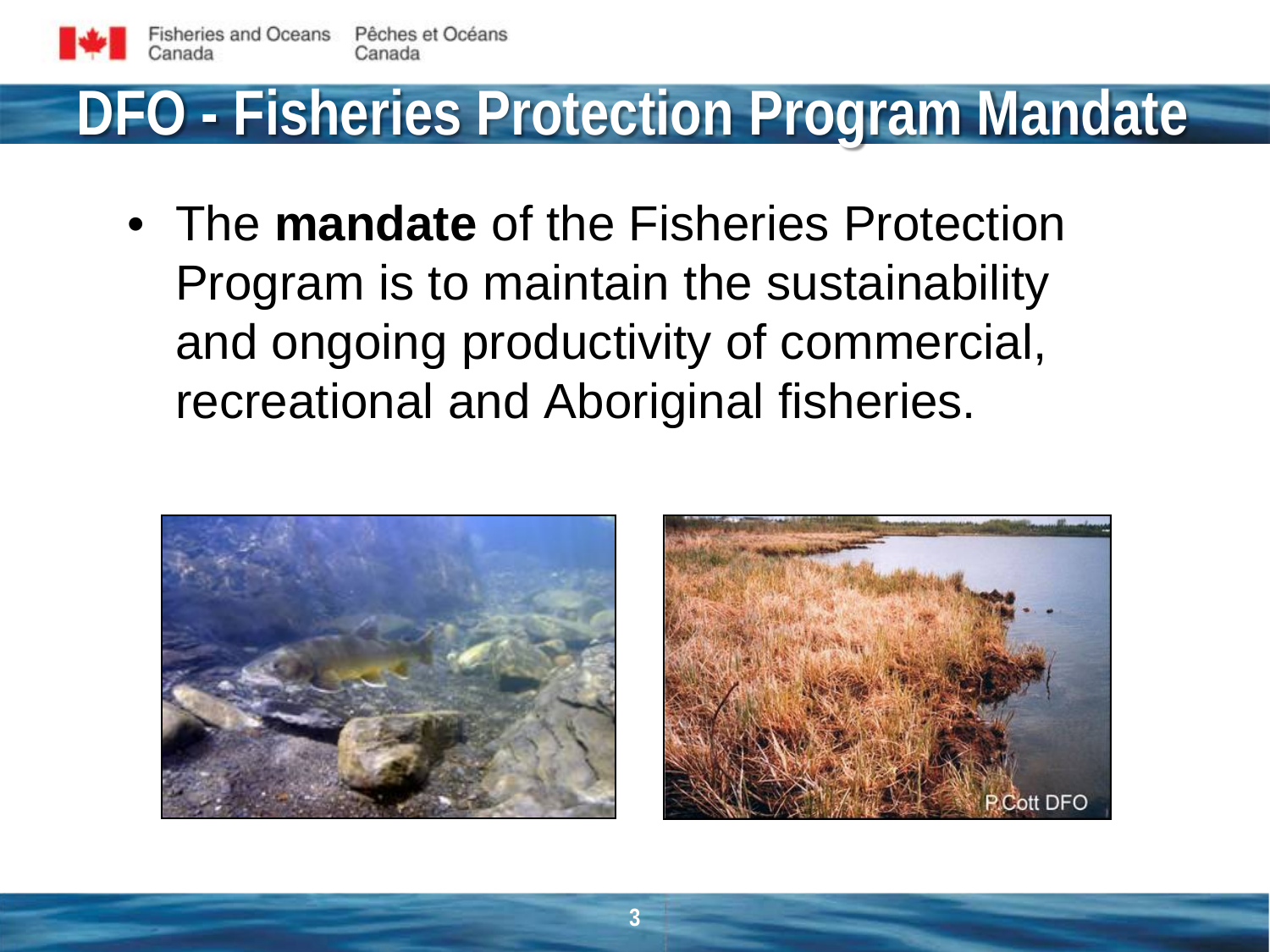

# **DFO - Fisheries Protection Program Mandate**

• The **mandate** of the Fisheries Protection Program is to maintain the sustainability and ongoing productivity of commercial, recreational and Aboriginal fisheries.



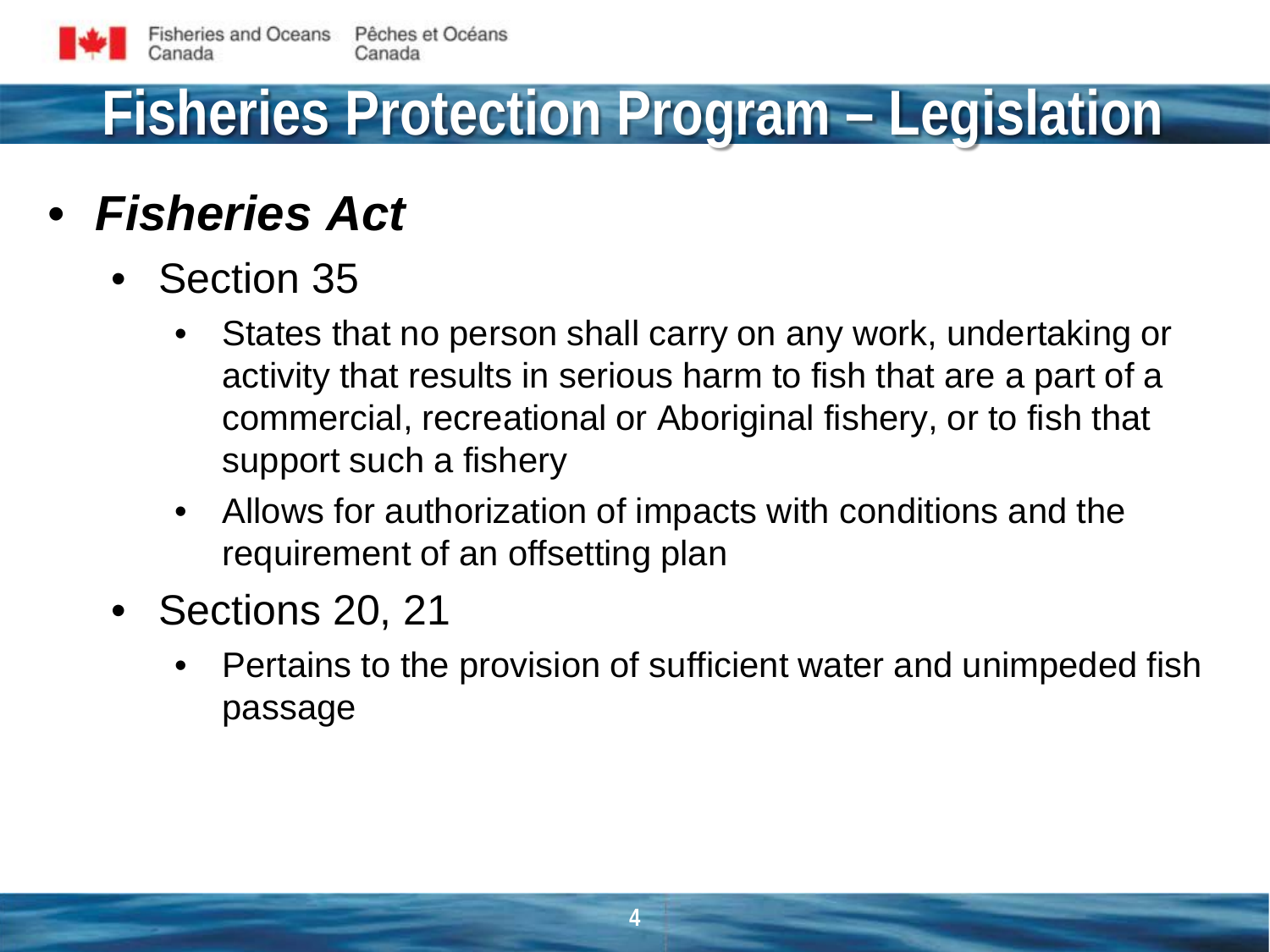# **Fisheries Protection Program – Legislation**

#### • *Fisheries Act*

- Section 35
	- States that no person shall carry on any work, undertaking or activity that results in serious harm to fish that are a part of a commercial, recreational or Aboriginal fishery, or to fish that support such a fishery
	- Allows for authorization of impacts with conditions and the requirement of an offsetting plan
- Sections 20, 21
	- Pertains to the provision of sufficient water and unimpeded fish passage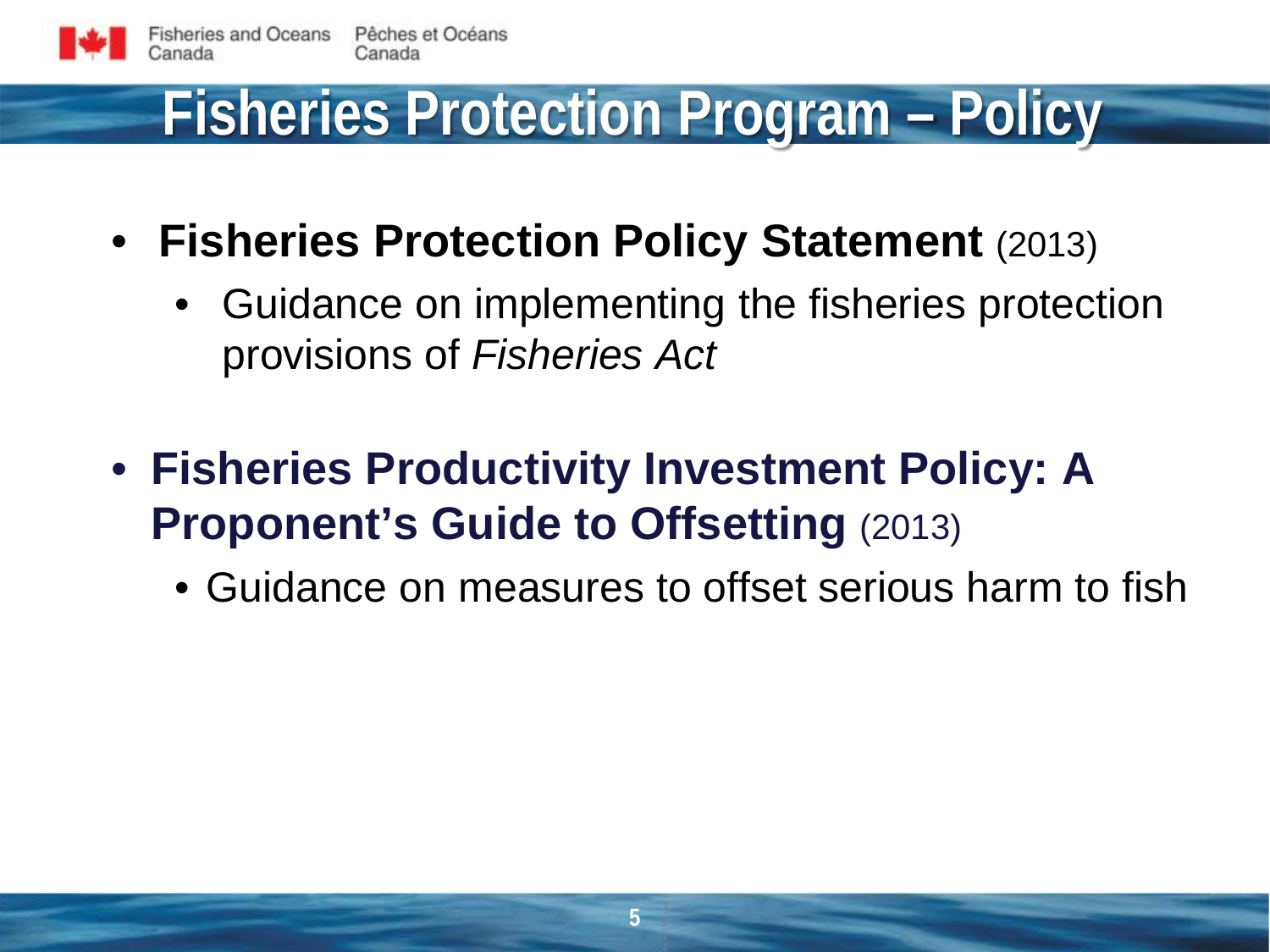

#### **Fisheries Protection Program – Policy**

- **Fisheries Protection Policy Statement** (2013)
	- Guidance on implementing the fisheries protection provisions of *Fisheries Act*
- **Fisheries Productivity Investment Policy: A Proponent's Guide to Offsetting (2013)** 
	- Guidance on measures to offset serious harm to fish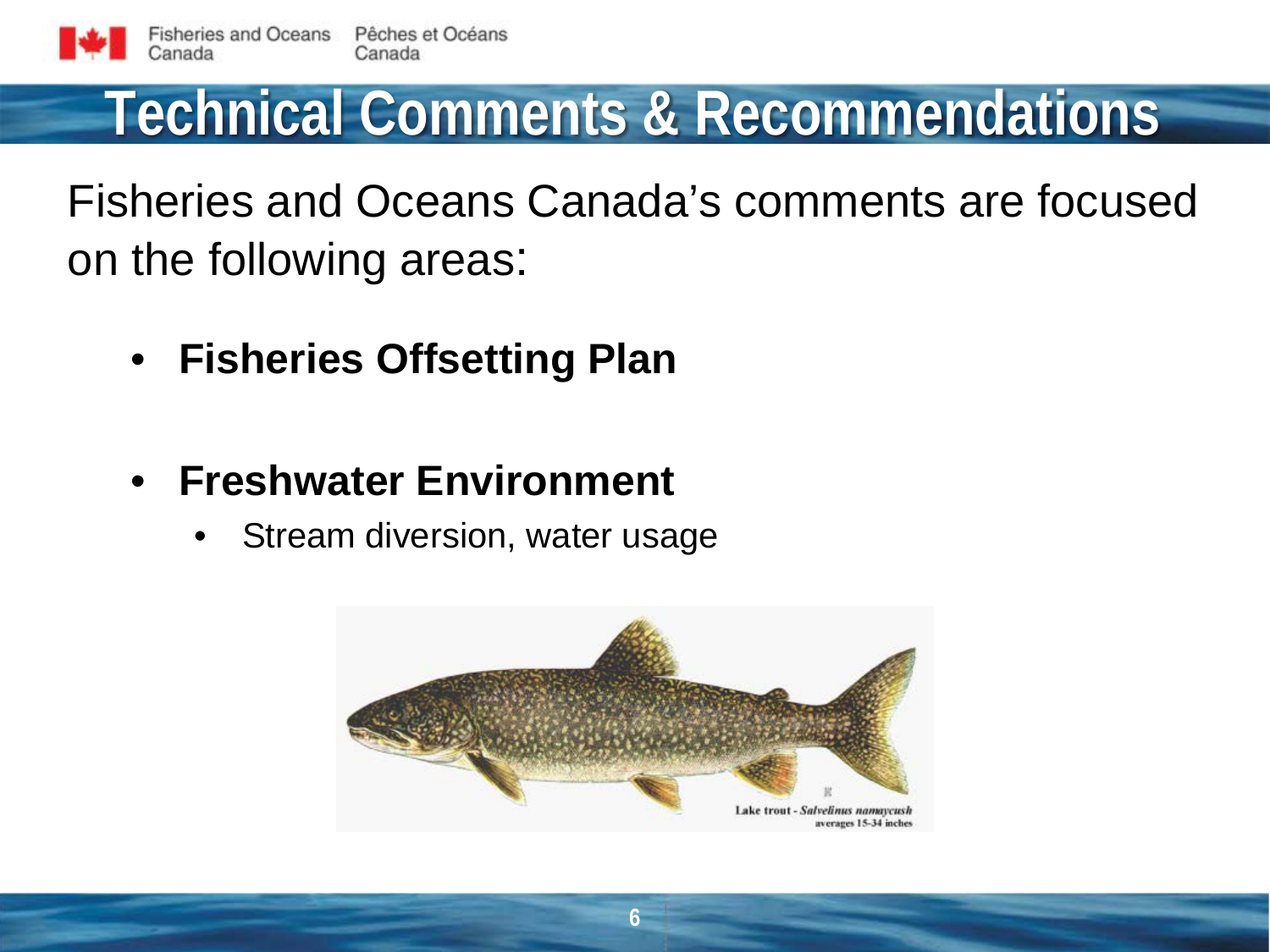# **Technical Comments & Recommendations**

Fisheries and Oceans Canada's comments are focused on the following areas:

- **Fisheries Offsetting Plan**
- **Freshwater Environment**
	- Stream diversion, water usage

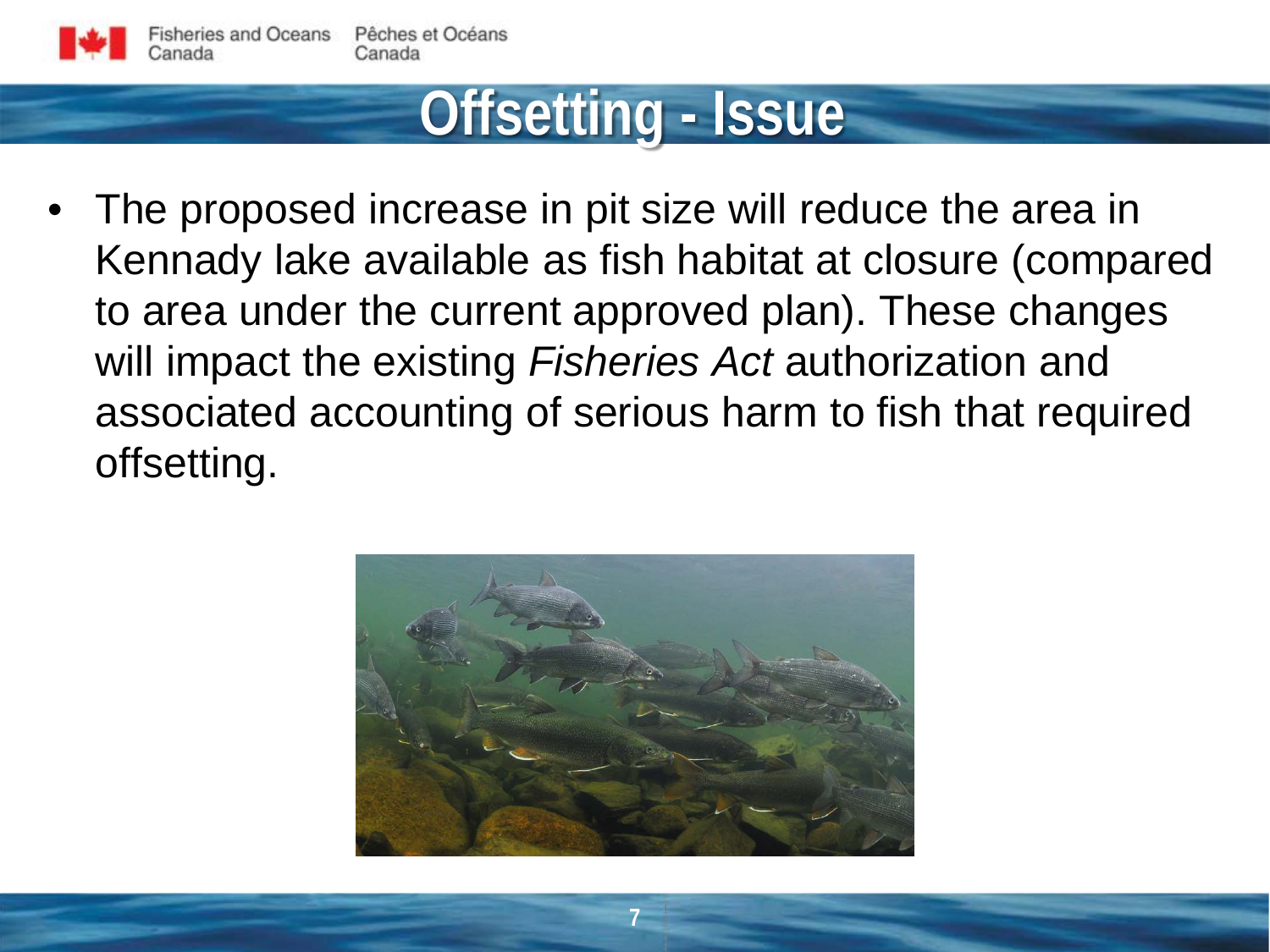

#### **Offsetting - Issue**

The proposed increase in pit size will reduce the area in Kennady lake available as fish habitat at closure (compared to area under the current approved plan). These changes will impact the existing *Fisheries Act* authorization and associated accounting of serious harm to fish that required offsetting.

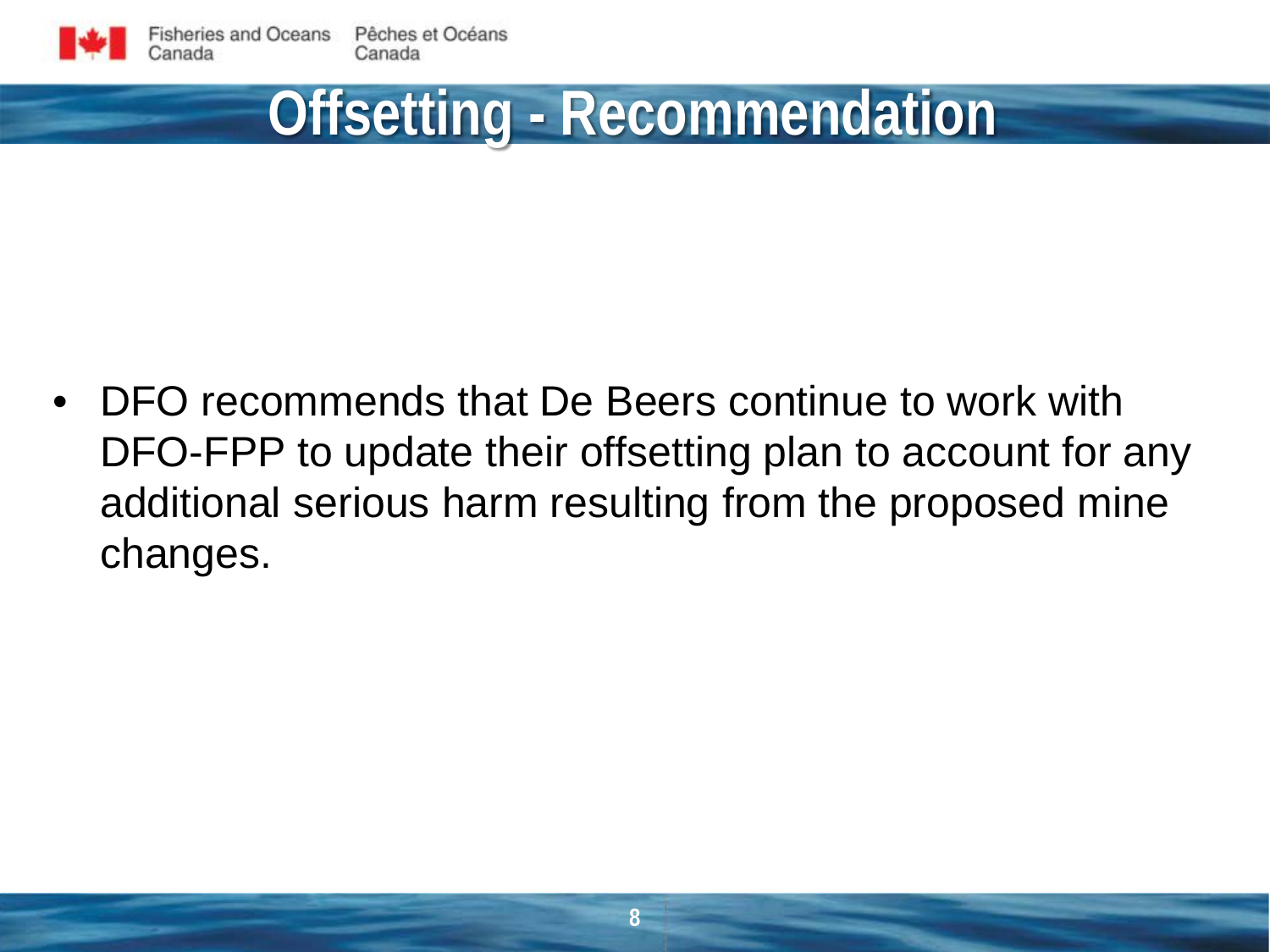## **Offsetting - Recommendation**

• DFO recommends that De Beers continue to work with DFO-FPP to update their offsetting plan to account for any additional serious harm resulting from the proposed mine changes.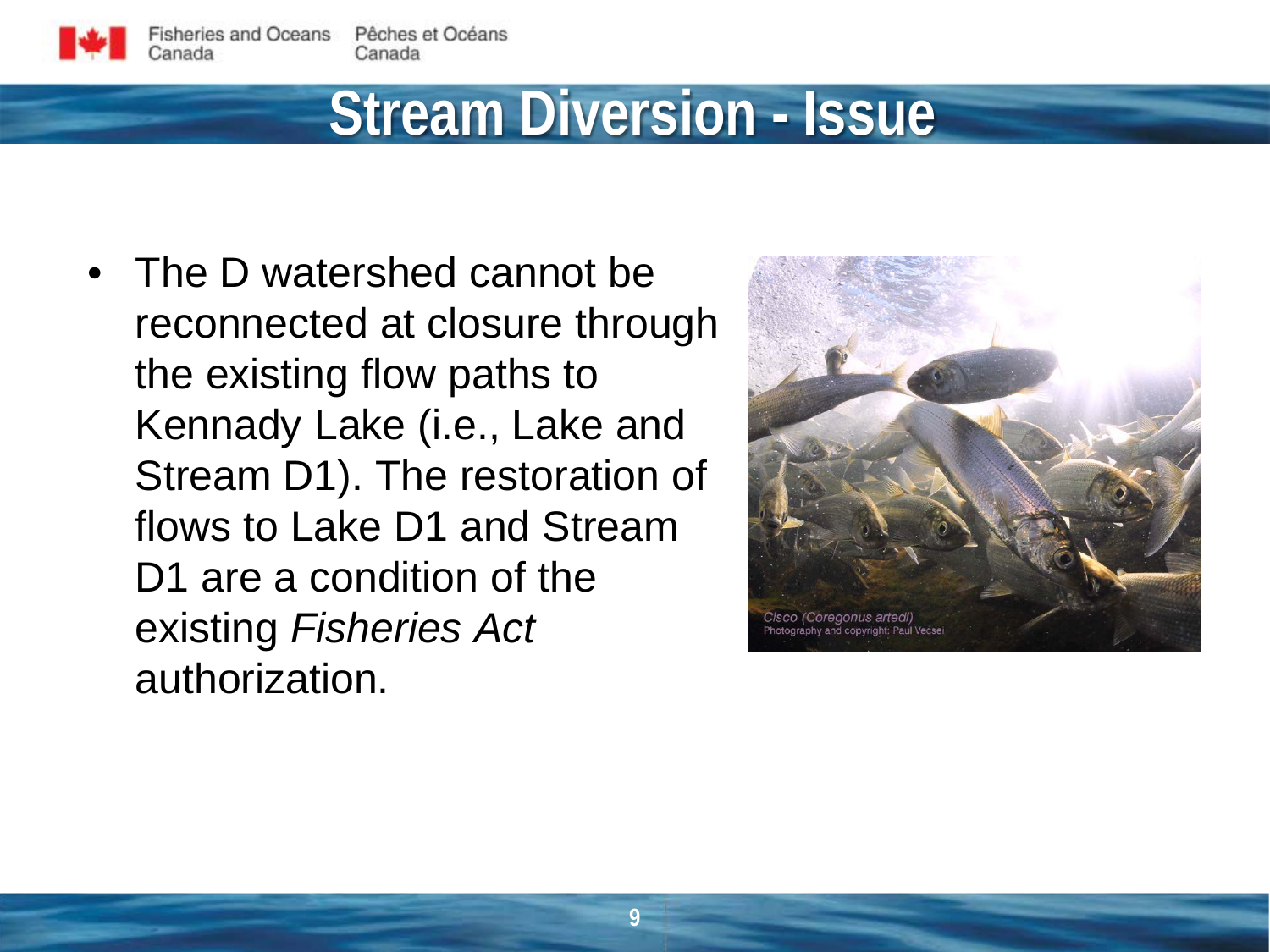#### **Stream Diversion - Issue**

• The D watershed cannot be reconnected at closure through the existing flow paths to Kennady Lake (i.e., Lake and Stream D1). The restoration of flows to Lake D1 and Stream D1 are a condition of the existing *Fisheries Act*  authorization.

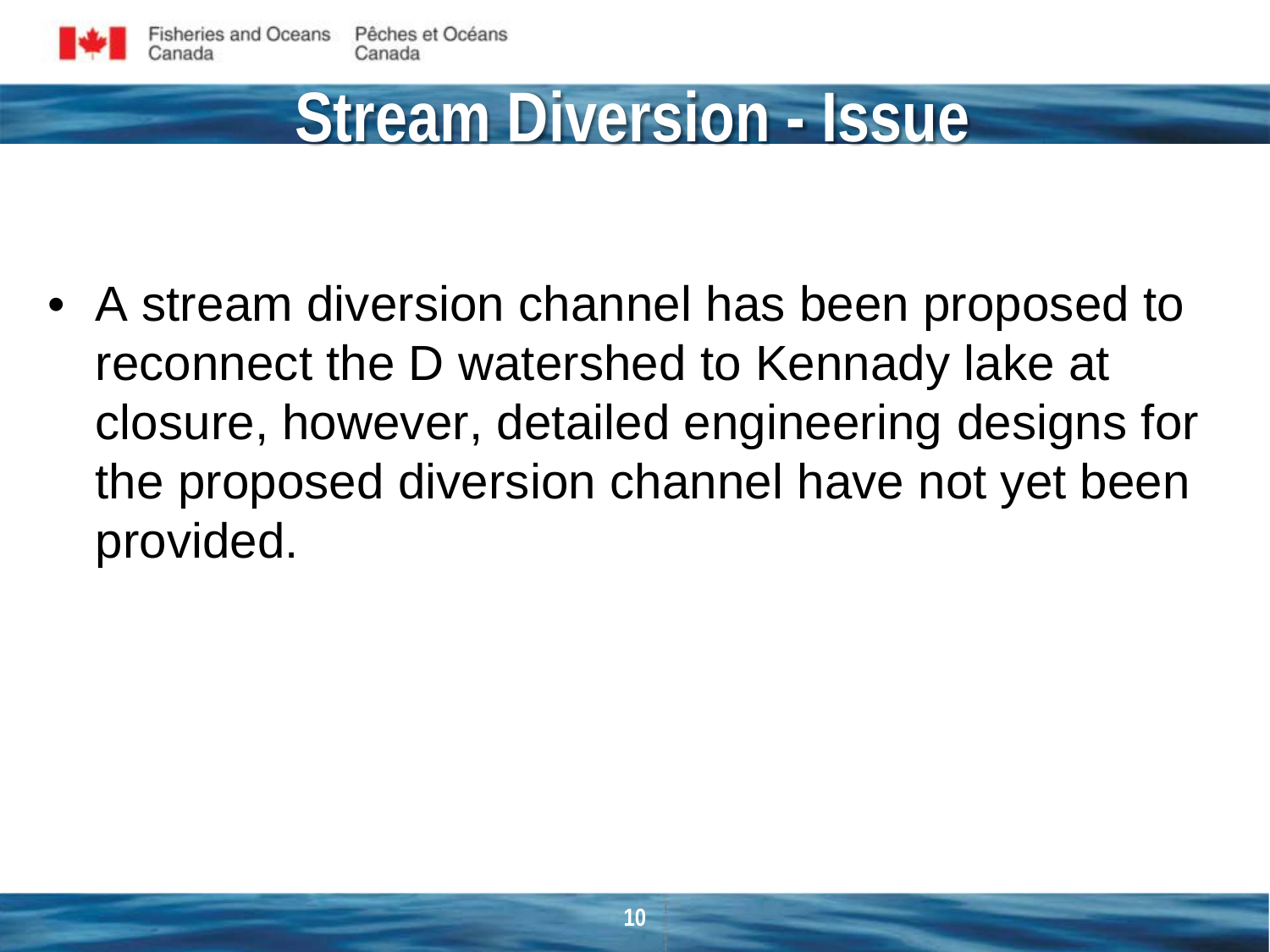# **Stream Diversion - Issue**

• A stream diversion channel has been proposed to reconnect the D watershed to Kennady lake at closure, however, detailed engineering designs for the proposed diversion channel have not yet been provided.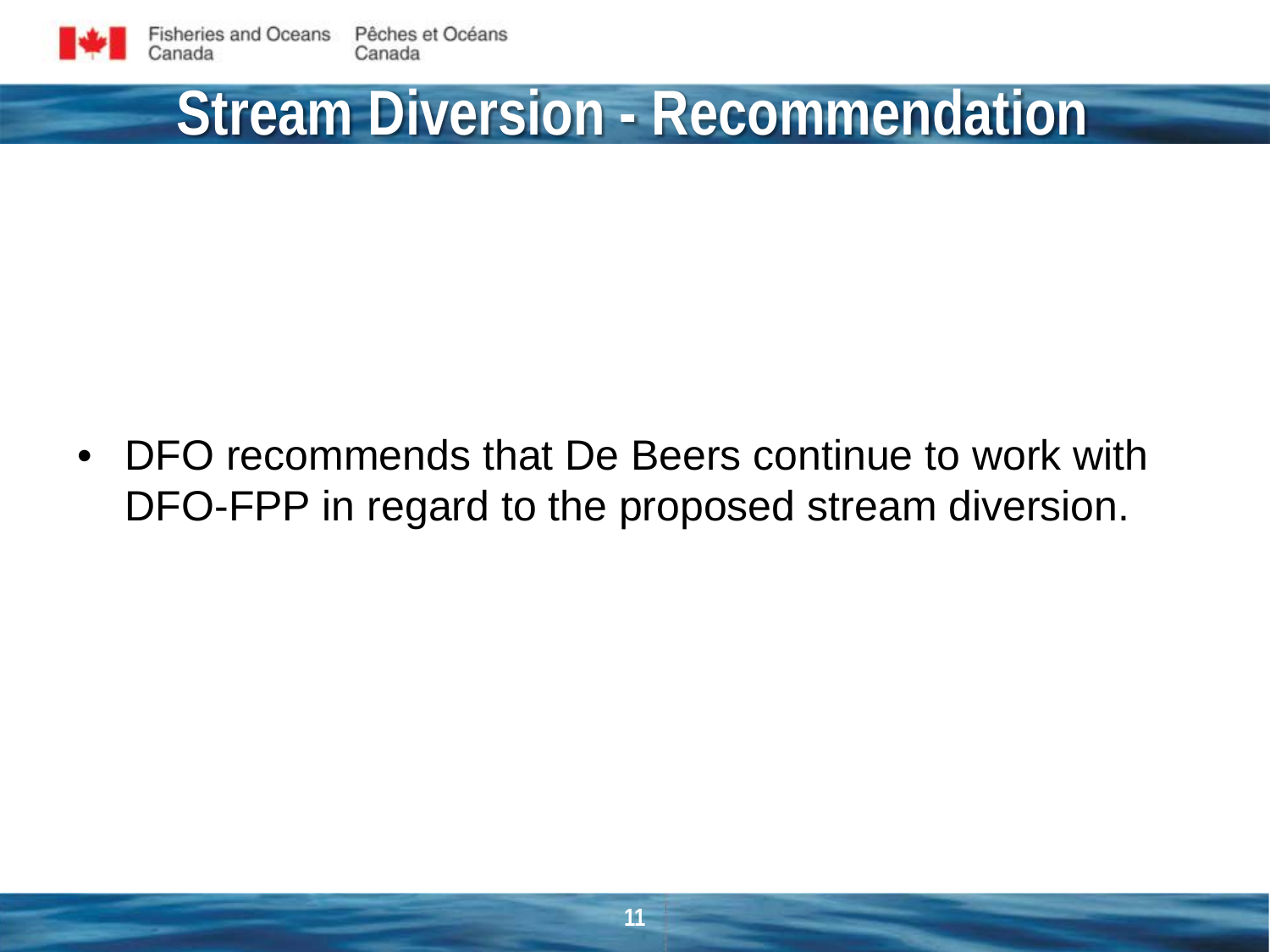# **Stream Diversion - Recommendation**

• DFO recommends that De Beers continue to work with DFO-FPP in regard to the proposed stream diversion.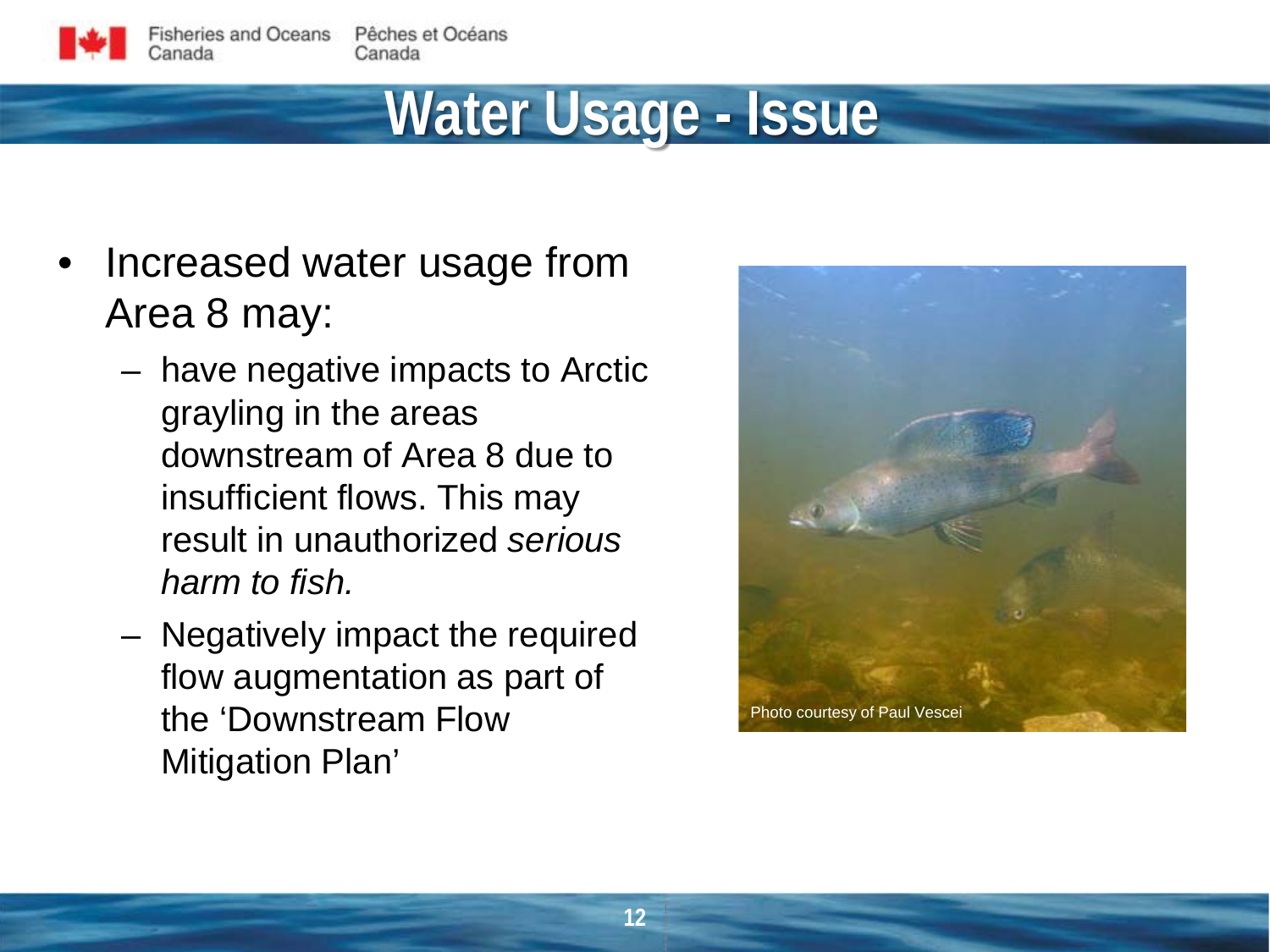#### **Water Usage - Issue**

- Increased water usage from Area 8 may:
	- have negative impacts to Arctic grayling in the areas downstream of Area 8 due to insufficient flows. This may result in unauthorized *serious harm to fish.*
	- Negatively impact the required flow augmentation as part of the 'Downstream Flow Mitigation Plan'

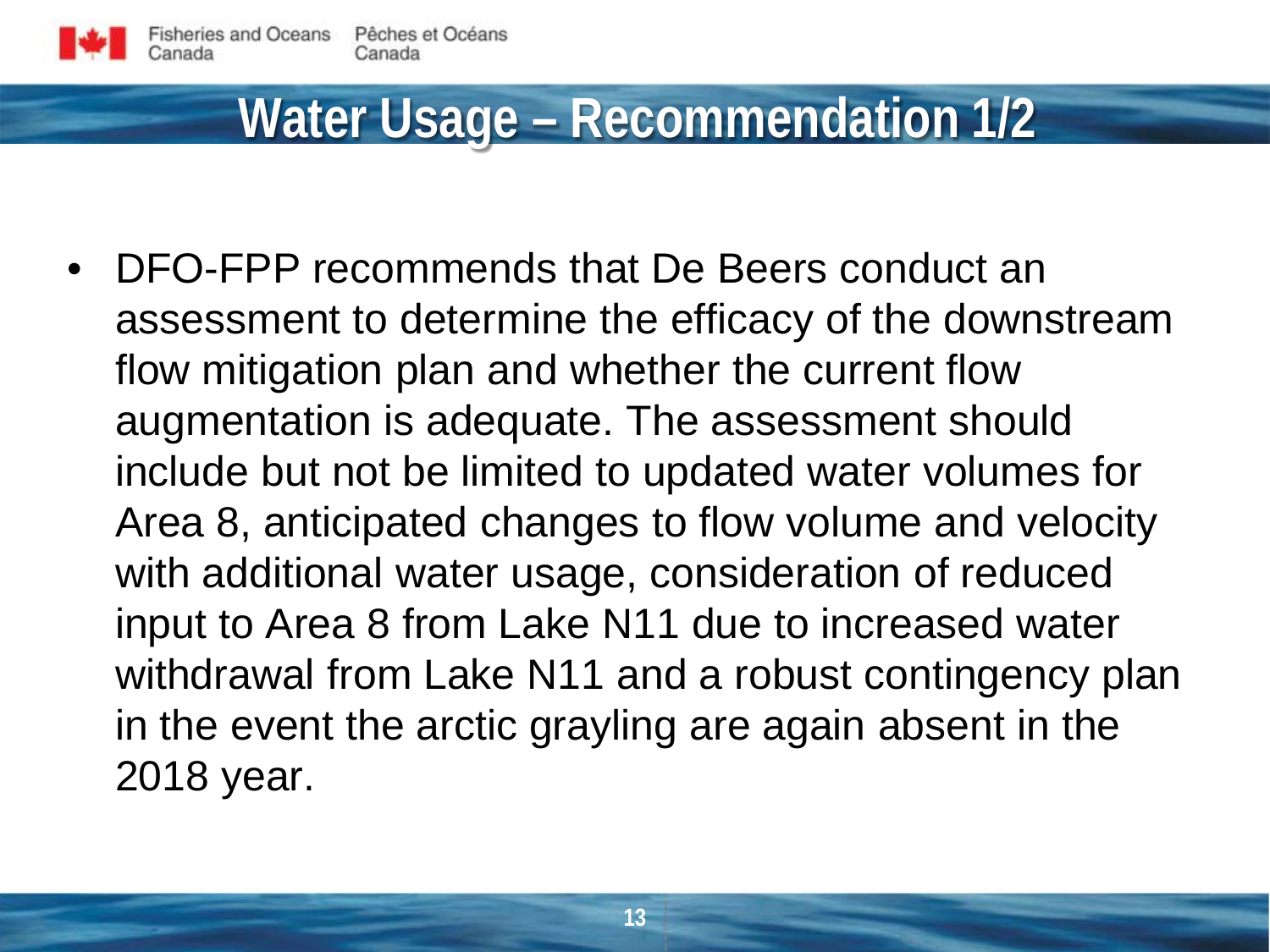#### **Water Usage – Recommendation 1/2**

• DFO-FPP recommends that De Beers conduct an assessment to determine the efficacy of the downstream flow mitigation plan and whether the current flow augmentation is adequate. The assessment should include but not be limited to updated water volumes for Area 8, anticipated changes to flow volume and velocity with additional water usage, consideration of reduced input to Area 8 from Lake N11 due to increased water withdrawal from Lake N11 and a robust contingency plan in the event the arctic grayling are again absent in the 2018 year.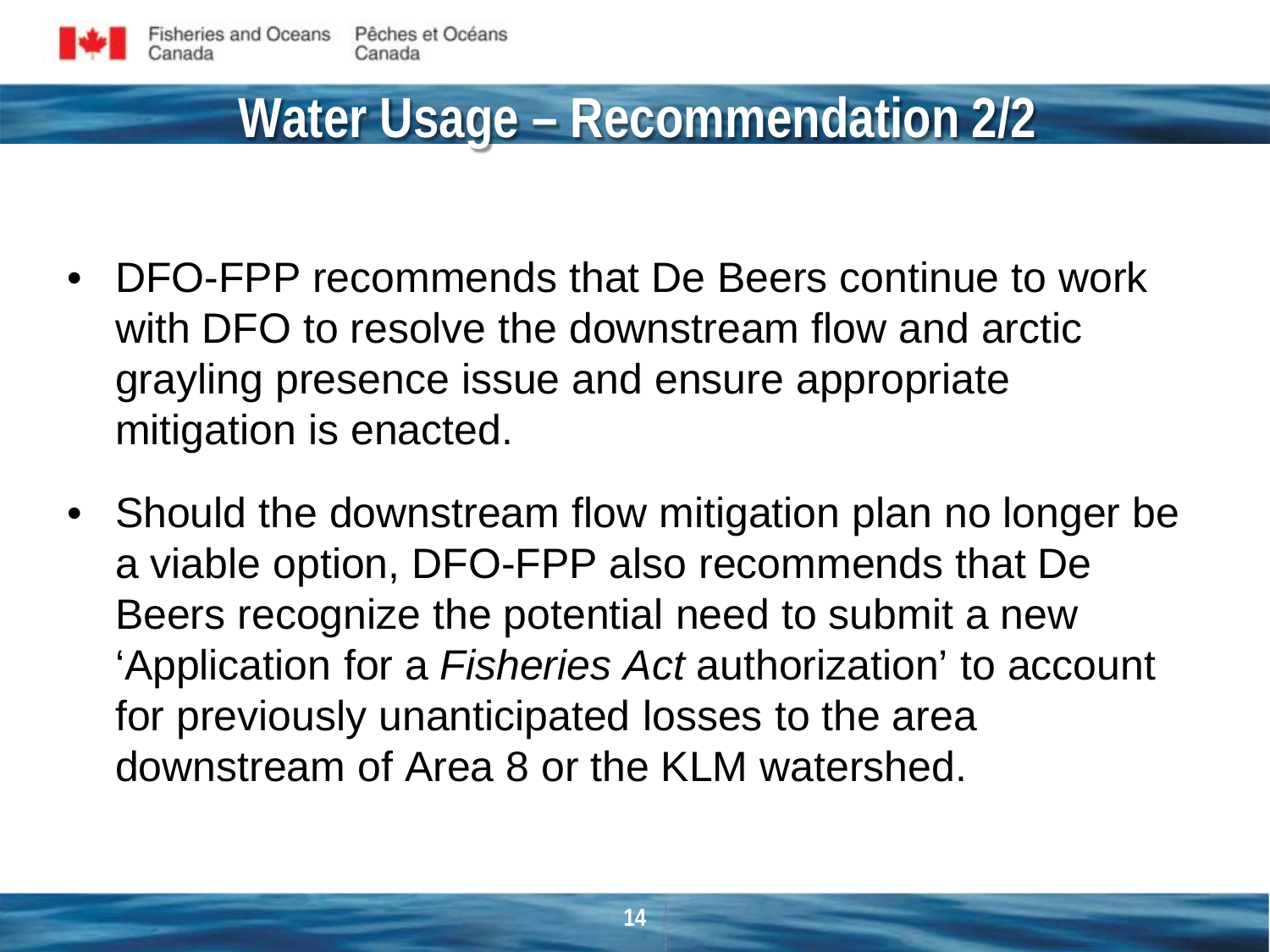#### **Water Usage – Recommendation 2/2**

- DFO-FPP recommends that De Beers continue to work with DFO to resolve the downstream flow and arctic grayling presence issue and ensure appropriate mitigation is enacted.
- Should the downstream flow mitigation plan no longer be a viable option, DFO-FPP also recommends that De Beers recognize the potential need to submit a new 'Application for a *Fisheries Act* authorization' to account for previously unanticipated losses to the area downstream of Area 8 or the KLM watershed.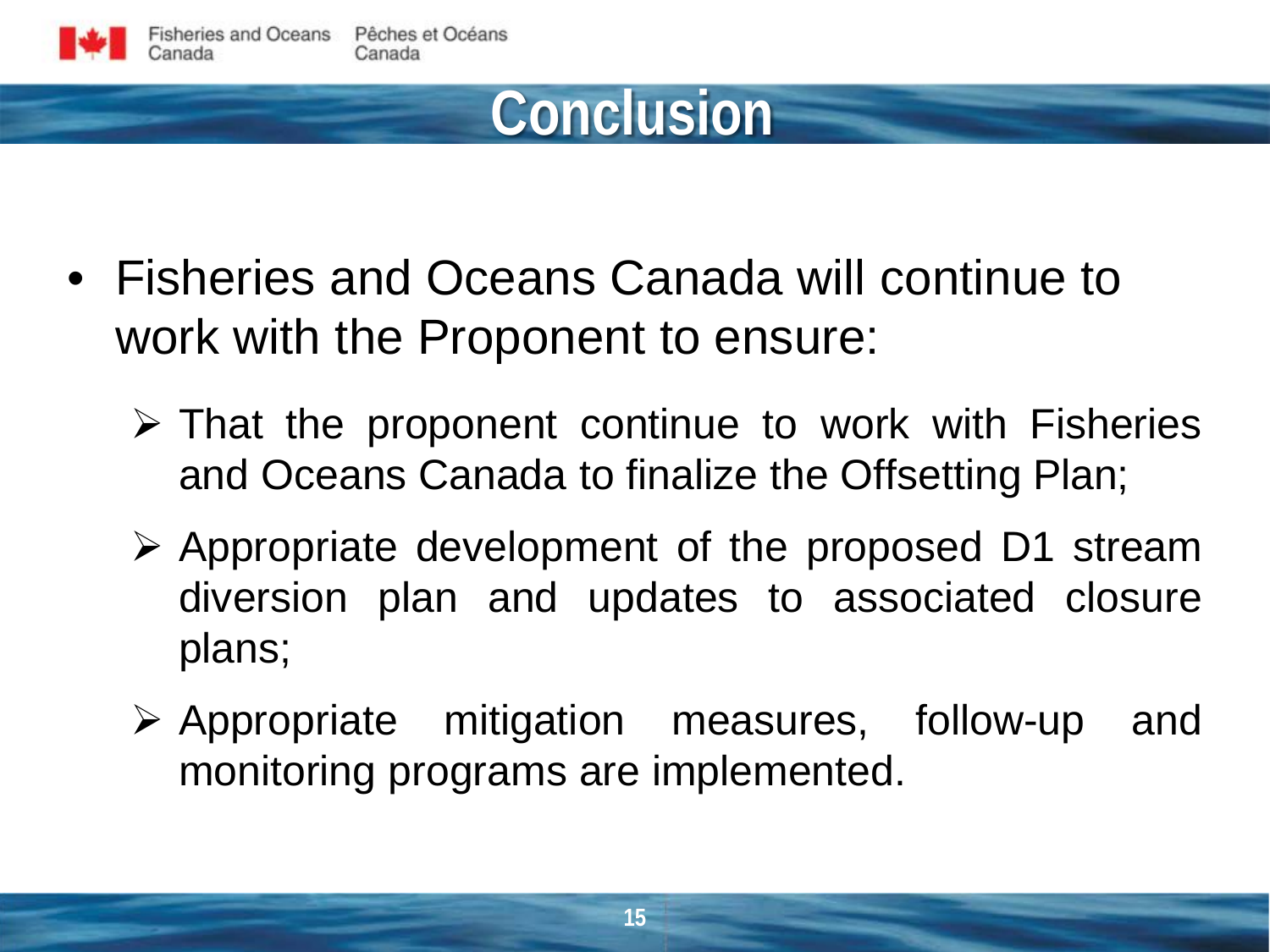

#### **Conclusion**

- Fisheries and Oceans Canada will continue to work with the Proponent to ensure:
	- $\triangleright$  That the proponent continue to work with Fisheries and Oceans Canada to finalize the Offsetting Plan;
	- $\triangleright$  Appropriate development of the proposed D1 stream diversion plan and updates to associated closure plans;
	- $\triangleright$  Appropriate mitigation measures, follow-up and monitoring programs are implemented.